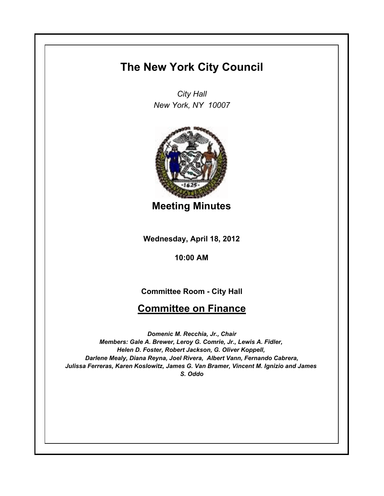## **The New York City Council**

*City Hall New York, NY 10007*



**Meeting Minutes**

**Wednesday, April 18, 2012**

**10:00 AM**

**Committee Room - City Hall**

## **Committee on Finance**

*Domenic M. Recchia, Jr., Chair Members: Gale A. Brewer, Leroy G. Comrie, Jr., Lewis A. Fidler, Helen D. Foster, Robert Jackson, G. Oliver Koppell, Darlene Mealy, Diana Reyna, Joel Rivera, Albert Vann, Fernando Cabrera, Julissa Ferreras, Karen Koslowitz, James G. Van Bramer, Vincent M. Ignizio and James S. Oddo*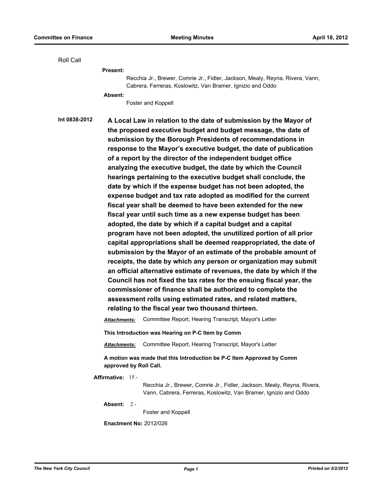Roll Call Recchia Jr., Brewer, Comrie Jr., Fidler, Jackson, Mealy, Reyna, Rivera, Vann, Cabrera, Ferreras, Koslowitz, Van Bramer, Ignizio and Oddo **Present:** Foster and Koppell **Absent: Int 0838-2012 A Local Law in relation to the date of submission by the Mayor of the proposed executive budget and budget message, the date of submission by the Borough Presidents of recommendations in response to the Mayor's executive budget, the date of publication of a report by the director of the independent budget office analyzing the executive budget, the date by which the Council hearings pertaining to the executive budget shall conclude, the date by which if the expense budget has not been adopted, the expense budget and tax rate adopted as modified for the current fiscal year shall be deemed to have been extended for the new fiscal year until such time as a new expense budget has been adopted, the date by which if a capital budget and a capital program have not been adopted, the unutilized portion of all prior capital appropriations shall be deemed reappropriated, the date of submission by the Mayor of an estimate of the probable amount of receipts, the date by which any person or organization may submit an official alternative estimate of revenues, the date by which if the Council has not fixed the tax rates for the ensuing fiscal year, the commissioner of finance shall be authorized to complete the assessment rolls using estimated rates, and related matters, relating to the fiscal year two thousand thirteen.** *Attachments:* Committee Report, Hearing Transcript, Mayor's Letter **This Introduction was Hearing on P-C Item by Comm** *Attachments:* Committee Report, Hearing Transcript, Mayor's Letter **A motion was made that this Introduction be P-C Item Approved by Comm approved by Roll Call. Affirmative:** 15 - Recchia Jr., Brewer, Comrie Jr., Fidler, Jackson, Mealy, Reyna, Rivera, Vann, Cabrera, Ferreras, Koslowitz, Van Bramer, Ignizio and Oddo

**Absent:** 2 -

Foster and Koppell

**Enactment No:** 2012/026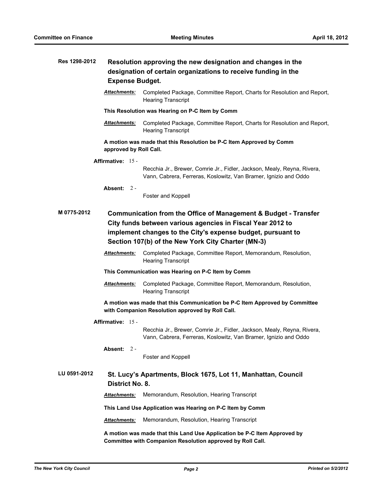| Res 1298-2012                                                                                                                                                                                                                                                                | Resolution approving the new designation and changes in the<br>designation of certain organizations to receive funding in the<br><b>Expense Budget.</b> |                                                                                                                                             |  |  |
|------------------------------------------------------------------------------------------------------------------------------------------------------------------------------------------------------------------------------------------------------------------------------|---------------------------------------------------------------------------------------------------------------------------------------------------------|---------------------------------------------------------------------------------------------------------------------------------------------|--|--|
|                                                                                                                                                                                                                                                                              | Attachments:                                                                                                                                            | Completed Package, Committee Report, Charts for Resolution and Report,<br><b>Hearing Transcript</b>                                         |  |  |
|                                                                                                                                                                                                                                                                              |                                                                                                                                                         | This Resolution was Hearing on P-C Item by Comm                                                                                             |  |  |
|                                                                                                                                                                                                                                                                              | <b>Attachments:</b>                                                                                                                                     | Completed Package, Committee Report, Charts for Resolution and Report,<br><b>Hearing Transcript</b>                                         |  |  |
|                                                                                                                                                                                                                                                                              | approved by Roll Call.                                                                                                                                  | A motion was made that this Resolution be P-C Item Approved by Comm                                                                         |  |  |
|                                                                                                                                                                                                                                                                              | Affirmative: 15 -                                                                                                                                       |                                                                                                                                             |  |  |
|                                                                                                                                                                                                                                                                              |                                                                                                                                                         | Recchia Jr., Brewer, Comrie Jr., Fidler, Jackson, Mealy, Reyna, Rivera,<br>Vann, Cabrera, Ferreras, Koslowitz, Van Bramer, Ignizio and Oddo |  |  |
|                                                                                                                                                                                                                                                                              | Absent: $2 -$                                                                                                                                           | Foster and Koppell                                                                                                                          |  |  |
| M 0775-2012<br><b>Communication from the Office of Management &amp; Budget - Transfer</b><br>City funds between various agencies in Fiscal Year 2012 to<br>implement changes to the City's expense budget, pursuant to<br>Section 107(b) of the New York City Charter (MN-3) |                                                                                                                                                         |                                                                                                                                             |  |  |
|                                                                                                                                                                                                                                                                              | Attachments:                                                                                                                                            | Completed Package, Committee Report, Memorandum, Resolution,<br><b>Hearing Transcript</b>                                                   |  |  |
|                                                                                                                                                                                                                                                                              | This Communication was Hearing on P-C Item by Comm                                                                                                      |                                                                                                                                             |  |  |
|                                                                                                                                                                                                                                                                              | <b>Attachments:</b>                                                                                                                                     | Completed Package, Committee Report, Memorandum, Resolution,<br><b>Hearing Transcript</b>                                                   |  |  |
|                                                                                                                                                                                                                                                                              | A motion was made that this Communication be P-C Item Approved by Committee<br>with Companion Resolution approved by Roll Call.                         |                                                                                                                                             |  |  |
| Affirmative: 15 -                                                                                                                                                                                                                                                            |                                                                                                                                                         |                                                                                                                                             |  |  |
|                                                                                                                                                                                                                                                                              |                                                                                                                                                         | Recchia Jr., Brewer, Comrie Jr., Fidler, Jackson, Mealy, Reyna, Rivera,<br>Vann, Cabrera, Ferreras, Koslowitz, Van Bramer, Ignizio and Oddo |  |  |
|                                                                                                                                                                                                                                                                              | Absent: $2 -$                                                                                                                                           | Foster and Koppell                                                                                                                          |  |  |
| LU 0591-2012                                                                                                                                                                                                                                                                 | St. Lucy's Apartments, Block 1675, Lot 11, Manhattan, Council<br>District No. 8.                                                                        |                                                                                                                                             |  |  |
|                                                                                                                                                                                                                                                                              | <b>Attachments:</b>                                                                                                                                     | Memorandum, Resolution, Hearing Transcript                                                                                                  |  |  |
|                                                                                                                                                                                                                                                                              | This Land Use Application was Hearing on P-C Item by Comm                                                                                               |                                                                                                                                             |  |  |
|                                                                                                                                                                                                                                                                              | <b>Attachments:</b>                                                                                                                                     | Memorandum, Resolution, Hearing Transcript                                                                                                  |  |  |
|                                                                                                                                                                                                                                                                              | A motion was made that this Land Use Application be P-C Item Approved by<br>Committee with Companion Resolution approved by Roll Call.                  |                                                                                                                                             |  |  |